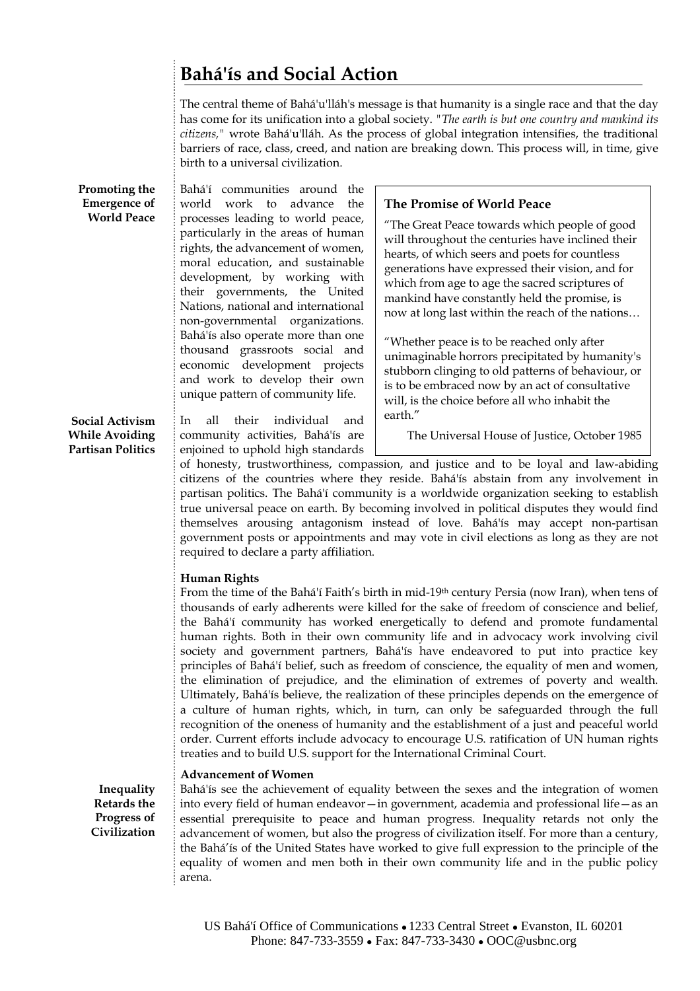# **Bahá'ís and Social Action**

The central theme of Bahá'u'lláh's message is that humanity is a single race and that the day has come for its unification into a global society. *"The earth is but one country and mankind its citizens,"* wrote Bahá'u'lláh. As the process of global integration intensifies, the traditional barriers of race, class, creed, and nation are breaking down. This process will, in time, give birth to a universal civilization.

**Promoting the Emergence of World Peace**

Bahá'í communities around the world work to advance the processes leading to world peace, particularly in the areas of human rights, the advancement of women, moral education, and sustainable development, by working with their governments, the United Nations, national and international non-governmental organizations. Bahá'ís also operate more than one thousand grassroots social and economic development projects and work to develop their own unique pattern of community life.

**Social Activism While Avoiding Partisan Politics**

In all their individual and community activities, Bahá'ís are enjoined to uphold high standards

## **The Promise of World Peace**

"The Great Peace towards which people of good will throughout the centuries have inclined their hearts, of which seers and poets for countless generations have expressed their vision, and for which from age to age the sacred scriptures of mankind have constantly held the promise, is now at long last within the reach of the nations…

"Whether peace is to be reached only after unimaginable horrors precipitated by humanity's stubborn clinging to old patterns of behaviour, or is to be embraced now by an act of consultative will, is the choice before all who inhabit the earth."

The Universal House of Justice, October 1985

of honesty, trustworthiness, compassion, and justice and to be loyal and law-abiding citizens of the countries where they reside. Bahá'ís abstain from any involvement in partisan politics. The Bahá'í community is a worldwide organization seeking to establish true universal peace on earth. By becoming involved in political disputes they would find themselves arousing antagonism instead of love. Bahá'ís may accept non-partisan government posts or appointments and may vote in civil elections as long as they are not required to declare a party affiliation.

### **Human Rights**

From the time of the Bahá'í Faith's birth in mid-19<sup>th</sup> century Persia (now Iran), when tens of thousands of early adherents were killed for the sake of freedom of conscience and belief, the Bahá'í community has worked energetically to defend and promote fundamental human rights. Both in their own community life and in advocacy work involving civil society and government partners, Bahá'ís have endeavored to put into practice key principles of Bahá'í belief, such as freedom of conscience, the equality of men and women, the elimination of prejudice, and the elimination of extremes of poverty and wealth. Ultimately, Bahá'ís believe, the realization of these principles depends on the emergence of a culture of human rights, which, in turn, can only be safeguarded through the full recognition of the oneness of humanity and the establishment of a just and peaceful world order. Current efforts include advocacy to encourage U.S. ratification of UN human rights treaties and to build U.S. support for the International Criminal Court.

### **Advancement of Women**

Bahá'ís see the achievement of equality between the sexes and the integration of women into every field of human endeavor—in government, academia and professional life—as an essential prerequisite to peace and human progress. Inequality retards not only the advancement of women, but also the progress of civilization itself. For more than a century, the Bahá'ís of the United States have worked to give full expression to the principle of the equality of women and men both in their own community life and in the public policy arena.

**Inequality Retards the Progress of Civilization**